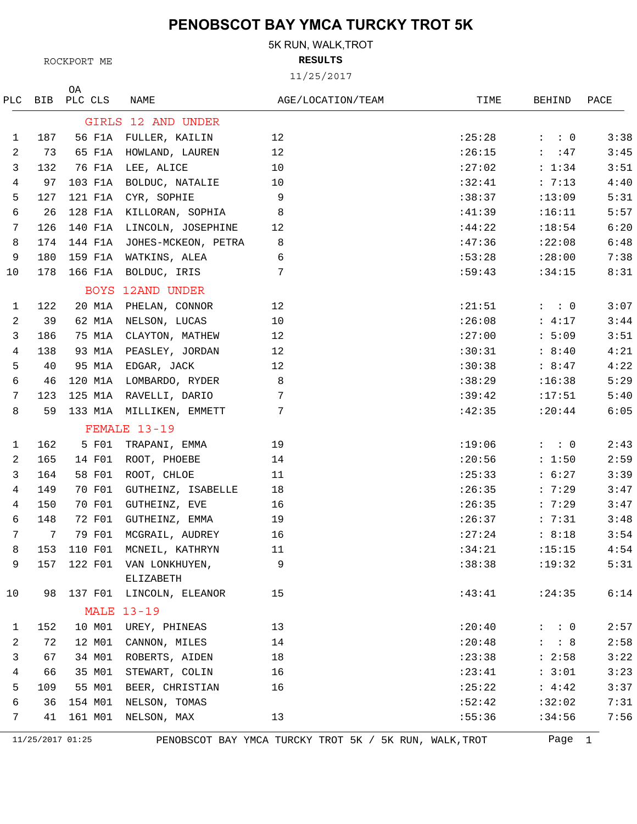5K RUN, WALK,TROT

**RESULTS**

11/25/2017

| PLC. | BIB | ΟA<br>PLC CLS | NAME                        | AGE/LOCATION/TEAM | TIME    | BEHIND              | PACE |
|------|-----|---------------|-----------------------------|-------------------|---------|---------------------|------|
|      |     |               | GIRLS 12 AND UNDER          |                   |         |                     |      |
| 1    | 187 | 56 F1A        | FULLER, KAILIN              | 12                | :25:28  | $: \quad : \quad 0$ | 3:38 |
| 2    | 73  | 65 F1A        | HOWLAND, LAUREN             | 12                | : 26:15 | : 47                | 3:45 |
| 3    | 132 | 76 F1A        | LEE, ALICE                  | 10                | :27:02  | : 1:34              | 3:51 |
| 4    | 97  | 103 F1A       | BOLDUC, NATALIE             | $10\,$            | :32:41  | : 7:13              | 4:40 |
| 5    | 127 | 121 F1A       | CYR, SOPHIE                 | 9                 | :38:37  | :13:09              | 5:31 |
| 6    | 26  | 128 F1A       | KILLORAN, SOPHIA            | 8                 | :41:39  | :16:11              | 5:57 |
| 7    | 126 | 140 F1A       | LINCOLN, JOSEPHINE          | 12                | :44:22  | :18:54              | 6:20 |
| 8    | 174 | 144 F1A       | JOHES-MCKEON, PETRA         | 8                 | :47:36  | :22:08              | 6:48 |
| 9    | 180 | 159 F1A       | WATKINS, ALEA               | 6                 | :53:28  | : 28:00             | 7:38 |
| 10   | 178 | 166 F1A       | BOLDUC, IRIS                | 7                 | :59:43  | :34:15              | 8:31 |
|      |     |               | BOYS 12AND UNDER            |                   |         |                     |      |
| 1    | 122 | 20 M1A        | PHELAN, CONNOR              | 12                | : 21:51 | $: \quad : \quad 0$ | 3:07 |
| 2    | 39  | 62 M1A        | NELSON, LUCAS               | 10                | :26:08  | : 4:17              | 3:44 |
| 3    | 186 | 75 M1A        | CLAYTON, MATHEW             | 12                | :27:00  | : 5:09              | 3:51 |
| 4    | 138 | 93 M1A        | PEASLEY, JORDAN             | 12                | :30:31  | : 8:40              | 4:21 |
| 5    | 40  | 95 M1A        | EDGAR, JACK                 | 12                | :30:38  | : 8:47              | 4:22 |
| 6    | 46  | 120 M1A       | LOMBARDO, RYDER             | 8                 | :38:29  | :16:38              | 5:29 |
| 7    | 123 | 125 M1A       | RAVELLI, DARIO              | 7                 | :39:42  | :17:51              | 5:40 |
| 8    | 59  | 133 M1A       | MILLIKEN, EMMETT            | 7                 | :42:35  | : 20:44             | 6:05 |
|      |     |               | FEMALE 13-19                |                   |         |                     |      |
| 1    | 162 | 5 F01         | TRAPANI, EMMA               | 19                | :19:06  | $: \quad : \quad 0$ | 2:43 |
| 2    | 165 | 14 F01        | ROOT, PHOEBE                | 14                | : 20:56 | : 1:50              | 2:59 |
| 3    | 164 | 58 F01        | ROOT, CHLOE                 | 11                | : 25:33 | : 6:27              | 3:39 |
| 4    | 149 | 70 F01        | GUTHEINZ, ISABELLE          | 18                | :26:35  | : 7:29              | 3:47 |
| 4    | 150 | 70 F01        | GUTHEINZ, EVE               | 16                | :26:35  | : 7:29              | 3:47 |
| 6    | 148 | 72 F01        | GUTHEINZ, EMMA              | 19                | :26:37  | : 7:31              | 3:48 |
| 7    | 7   | 79 F01        | MCGRAIL, AUDREY             | 16                | : 27:24 | : 8:18              | 3:54 |
| 8    |     |               | 153 110 F01 MCNEIL, KATHRYN | 11                | :34:21  | :15:15              | 4:54 |
| 9    | 157 | 122 F01       | VAN LONKHUYEN,              | 9                 | :38:38  | :19:32              | 5:31 |
|      |     |               | ELIZABETH                   |                   |         |                     |      |
| 10   | 98  |               | 137 F01 LINCOLN, ELEANOR    | 15                | :43:41  | : 24:35             | 6:14 |
|      |     |               | <b>MALE 13-19</b>           |                   |         |                     |      |
| 1    | 152 | 10 M01        | UREY, PHINEAS               | 13                | :20:40  | $: \quad : \quad 0$ | 2:57 |
| 2    | 72  | 12 M01        | CANNON, MILES               | 14                | : 20:48 | : 8                 | 2:58 |
| 3    | 67  | 34 MO1        | ROBERTS, AIDEN              | 18                | : 23:38 | : 2:58              | 3:22 |
| 4    | 66  | 35 M01        | STEWART, COLIN              | 16                | : 23:41 | : 3:01              | 3:23 |
| 5    | 109 |               | 55 M01 BEER, CHRISTIAN      | 16                | :25:22  | : 4:42              | 3:37 |
| 6    | 36  | 154 M01       | NELSON, TOMAS               |                   | :52:42  | :32:02              | 7:31 |
| 7    | 41  | 161 M01       | NELSON, MAX                 | 13                | :55:36  | :34:56              | 7:56 |
|      |     |               |                             |                   |         |                     |      |

11/25/2017 01:25 PENOBSCOT BAY YMCA TURCKY TROT 5K / 5K RUN, WALK,TROT Page 1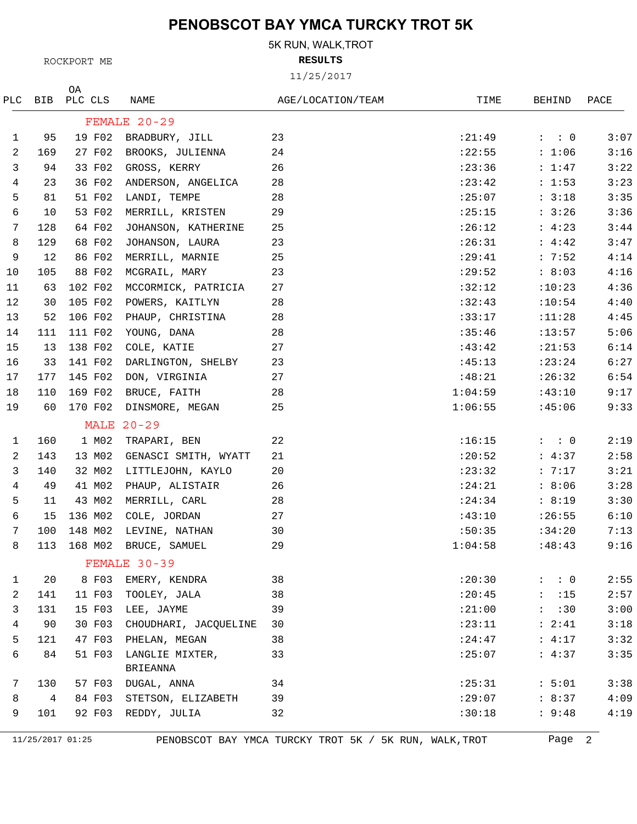5K RUN, WALK,TROT

**RESULTS**

11/25/2017

| PLC          | BIB | ΟA<br>PLC CLS | NAME                        | AGE/LOCATION/TEAM | TIME    | BEHIND              | PACE |
|--------------|-----|---------------|-----------------------------|-------------------|---------|---------------------|------|
|              |     |               | FEMALE 20-29                |                   |         |                     |      |
| $\mathbf{1}$ | 95  | 19 F02        | BRADBURY, JILL              | 23                | : 21:49 | $: \quad : \quad 0$ | 3:07 |
| 2            | 169 | 27 F02        | BROOKS, JULIENNA            | 24                | : 22:55 | : 1:06              | 3:16 |
| 3            | 94  | 33 F02        | GROSS, KERRY                | 26                | : 23:36 | : 1:47              | 3:22 |
| 4            | 23  | 36 F02        | ANDERSON, ANGELICA          | 28                | : 23:42 | : 1:53              | 3:23 |
| 5            | 81  | 51 F02        | LANDI, TEMPE                | 28                | :25:07  | : 3:18              | 3:35 |
| 6            | 10  | 53 F02        | MERRILL, KRISTEN            | 29                | :25:15  | : 3:26              | 3:36 |
| 7            | 128 | 64 F02        | JOHANSON, KATHERINE         | 25                | :26:12  | : 4:23              | 3:44 |
| 8            | 129 | 68 F02        | JOHANSON, LAURA             | 23                | :26:31  | : 4:42              | 3:47 |
| 9            | 12  | 86 F02        | MERRILL, MARNIE             | 25                | :29:41  | : 7:52              | 4:14 |
| 10           | 105 | 88 F02        | MCGRAIL, MARY               | 23                | :29:52  | : 8:03              | 4:16 |
| 11           | 63  | 102 F02       | MCCORMICK, PATRICIA         | 27                | :32:12  | :10:23              | 4:36 |
| 12           | 30  | 105 F02       | POWERS, KAITLYN             | 28                | :32:43  | :10:54              | 4:40 |
| 13           | 52  | 106 F02       | PHAUP, CHRISTINA            | 28                | :33:17  | :11:28              | 4:45 |
| 14           | 111 | 111 F02       | YOUNG, DANA                 | 28                | :35:46  | : 13:57             | 5:06 |
| 15           | 13  | 138 F02       | COLE, KATIE                 | 27                | :43:42  | : 21:53             | 6:14 |
| 16           | 33  | 141 F02       | DARLINGTON, SHELBY          | 23                | :45:13  | : 23:24             | 6:27 |
| 17           | 177 | 145 F02       | DON, VIRGINIA               | 27                | :48:21  | :26:32              | 6:54 |
| 18           | 110 | 169 F02       | BRUCE, FAITH                | 28                | 1:04:59 | :43:10              | 9:17 |
| 19           | 60  | 170 F02       | DINSMORE, MEGAN             | 25                | 1:06:55 | :45:06              | 9:33 |
|              |     |               | MALE $20-29$                |                   |         |                     |      |
| $\mathbf{1}$ | 160 | 1 M02         | TRAPARI, BEN                | 22                | :16:15  | $\colon$ $\colon$ 0 | 2:19 |
| 2            | 143 | 13 MO2        | GENASCI SMITH, WYATT        | 21                | :20:52  | : 4:37              | 2:58 |
| 3            | 140 | 32 MO2        | LITTLEJOHN, KAYLO           | 20                | : 23:32 | : 7:17              | 3:21 |
| 4            | 49  | 41 MO2        | PHAUP, ALISTAIR             | 26                | : 24:21 | : 8:06              | 3:28 |
| 5            | 11  | 43 MO2        | MERRILL, CARL               | 28                | : 24:34 | : 8:19              | 3:30 |
| 6            | 15  | 136 M02       | COLE, JORDAN                | 27                | :43:10  | :26:55              | 6:10 |
| 7            | 100 | 148 MO2       | LEVINE, NATHAN              | 30                | :50:35  | :34:20              | 7:13 |
| 8            | 113 | 168 M02       | BRUCE, SAMUEL               | 29                | 1:04:58 | :48:43              | 9:16 |
|              |     |               | FEMALE 30-39                |                   |         |                     |      |
| 1            | 20  | 8 F03         | EMERY, KENDRA               | 38                | :20:30  | $\colon$ $\colon$ 0 | 2:55 |
| 2            | 141 | 11 F03        | TOOLEY, JALA                | 38                | : 20:45 | : 15                | 2:57 |
| 3            | 131 | 15 F03        | LEE, JAYME                  | 39                | :21:00  | : 30                | 3:00 |
| 4            | 90  | 30 F03        | CHOUDHARI, JACQUELINE       | 30                | : 23:11 | : 2:41              | 3:18 |
| 5            | 121 | 47 F03        | PHELAN, MEGAN               | 38                | : 24:47 | : 4:17              | 3:32 |
| 6            | 84  | 51 F03        | LANGLIE MIXTER,<br>BRIEANNA | 33                | :25:07  | : 4:37              | 3:35 |
| 7            | 130 | 57 F03        | DUGAL, ANNA                 | 34                | : 25:31 | : 5:01              | 3:38 |
| 8            | 4   | 84 F03        | STETSON, ELIZABETH          | 39                | :29:07  | : 8:37              | 4:09 |
| 9            | 101 | 92 F03        | REDDY, JULIA                | 32                | :30:18  | : 9:48              | 4:19 |

11/25/2017 01:25 PENOBSCOT BAY YMCA TURCKY TROT 5K / 5K RUN, WALK,TROT Page 2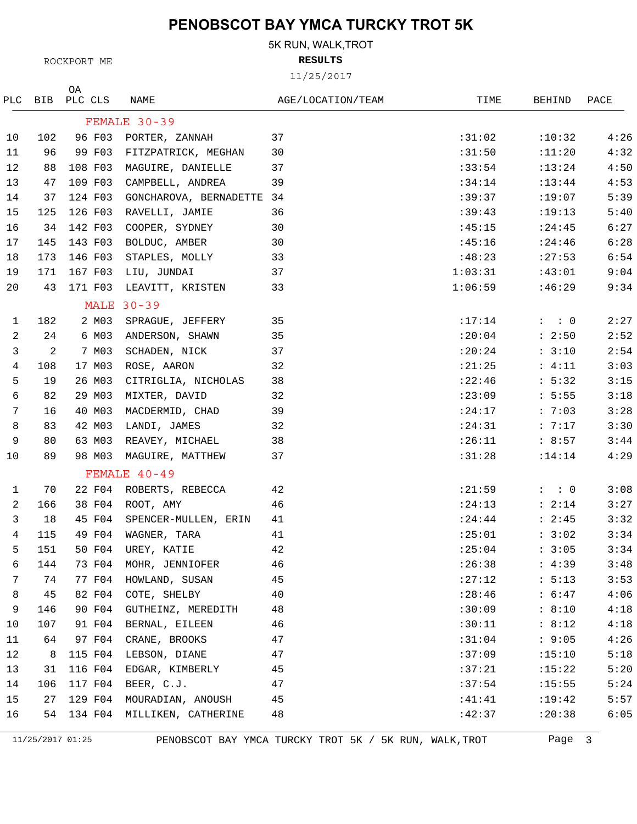5K RUN, WALK,TROT

**RESULTS**

11/25/2017

|              | PLC BIB | ΟA<br>PLC CLS | NAME                        | AGE/LOCATION/TEAM | TIME    | BEHIND              | PACE |
|--------------|---------|---------------|-----------------------------|-------------------|---------|---------------------|------|
|              |         |               | FEMALE 30-39                |                   |         |                     |      |
| 10           | 102     | 96 F03        | PORTER, ZANNAH              | 37                | :31:02  | :10:32              | 4:26 |
| 11           | 96      | 99 F03        | FITZPATRICK, MEGHAN         | 30                | :31:50  | :11:20              | 4:32 |
| 12           | 88      | 108 F03       | MAGUIRE, DANIELLE           | 37                | :33:54  | :13:24              | 4:50 |
| 13           | 47      | 109 F03       | CAMPBELL, ANDREA            | 39                | :34:14  | : 13:44             | 4:53 |
| 14           | 37      | 124 F03       | GONCHAROVA, BERNADETTE 34   |                   | :39:37  | :19:07              | 5:39 |
| 15           | 125     | 126 F03       | RAVELLI, JAMIE              | 36                | :39:43  | :19:13              | 5:40 |
| 16           | 34      | 142 F03       | COOPER, SYDNEY              | 30                | :45:15  | : 24:45             | 6:27 |
| 17           | 145     | 143 F03       | BOLDUC, AMBER               | 30                | :45:16  | : 24:46             | 6:28 |
| 18           | 173     | 146 F03       | STAPLES, MOLLY              | 33                | :48:23  | : 27:53             | 6:54 |
| 19           | 171     | 167 F03       | LIU, JUNDAI                 | 37                | 1:03:31 | :43:01              | 9:04 |
| 20           | 43      | 171 F03       | LEAVITT, KRISTEN            | 33                | 1:06:59 | :46:29              | 9:34 |
|              |         |               | <b>MALE 30-39</b>           |                   |         |                     |      |
| $\mathbf{1}$ | 182     | 2 MO3         | SPRAGUE, JEFFERY            | 35                | : 17:14 | $\colon$ $\colon$ 0 | 2:27 |
| 2            | 24      | 6 MO3         | ANDERSON, SHAWN             | 35                | : 20:04 | : 2:50              | 2:52 |
| 3            | 2       | 7 M03         | SCHADEN, NICK               | 37                | :20:24  | : 3:10              | 2:54 |
| 4            | 108     | 17 M03        | ROSE, AARON                 | 32                | : 21:25 | : 4:11              | 3:03 |
| 5            | 19      | 26 M03        | CITRIGLIA, NICHOLAS         | 38                | :22:46  | : 5:32              | 3:15 |
| 6            | 82      | 29 MO3        | MIXTER, DAVID               | 32                | :23:09  | : 5:55              | 3:18 |
| 7            | 16      | 40 MO3        | MACDERMID, CHAD             | 39                | : 24:17 | : 7:03              | 3:28 |
| 8            | 83      | 42 M03        | LANDI, JAMES                | 32                | : 24:31 | : 7:17              | 3:30 |
| 9            | 80      | 63 MO3        | REAVEY, MICHAEL             | 38                | :26:11  | : 8:57              | 3:44 |
| 10           | 89      | 98 M03        | MAGUIRE, MATTHEW            | 37                | :31:28  | : 14:14             | 4:29 |
|              |         |               | FEMALE 40-49                |                   |         |                     |      |
| $\mathbf{1}$ | 70      | 22 F04        | ROBERTS, REBECCA            | 42                | : 21:59 | $: \quad : \quad 0$ | 3:08 |
| 2            | 166     | 38 F04        | ROOT, AMY                   | 46                | : 24:13 | : 2:14              | 3:27 |
| 3            | 18      | 45 F04        | SPENCER-MULLEN, ERIN        | 41                | : 24:44 | : 2:45              | 3:32 |
| 4            | 115     | 49 F04        | WAGNER, TARA                | 41                | : 25:01 | : 3:02              | 3:34 |
| 5            | 151     | 50 F04        | UREY, KATIE                 | 42                | : 25:04 | : 3:05              | 3:34 |
| 6            | 144     | 73 F04        | MOHR, JENNIOFER             | 46                | :26:38  | : 4:39              | 3:48 |
| 7            | 74      | 77 F04        | HOWLAND, SUSAN              | 45                | :27:12  | : 5:13              | 3:53 |
| 8            | 45      | 82 F04        | COTE, SHELBY                | 40                | : 28:46 | : 6:47              | 4:06 |
| 9            | 146     | 90 F04        | GUTHEINZ, MEREDITH          | 48                | :30:09  | : 8:10              | 4:18 |
| 10           | 107     | 91 F04        | BERNAL, EILEEN              | 46                | :30:11  | : 8:12              | 4:18 |
| 11           | 64      | 97 F04        | CRANE, BROOKS               | 47                | :31:04  | : 9:05              | 4:26 |
| 12           | 8       | 115 F04       | LEBSON, DIANE               | 47                | :37:09  | :15:10              | 5:18 |
| 13           | 31      | 116 F04       | EDGAR, KIMBERLY             | 45                | :37:21  | :15:22              | 5:20 |
| 14           | 106     | 117 F04       | BEER, C.J.                  | 47                | :37:54  | :15:55              | 5:24 |
| 15           | 27      | 129 F04       | MOURADIAN, ANOUSH           | 45                | :41:41  | :19:42              | 5:57 |
| 16           | 54      |               | 134 F04 MILLIKEN, CATHERINE | 48                | :42:37  | :20:38              | 6:05 |

11/25/2017 01:25 PENOBSCOT BAY YMCA TURCKY TROT 5K / 5K RUN, WALK,TROT Page 3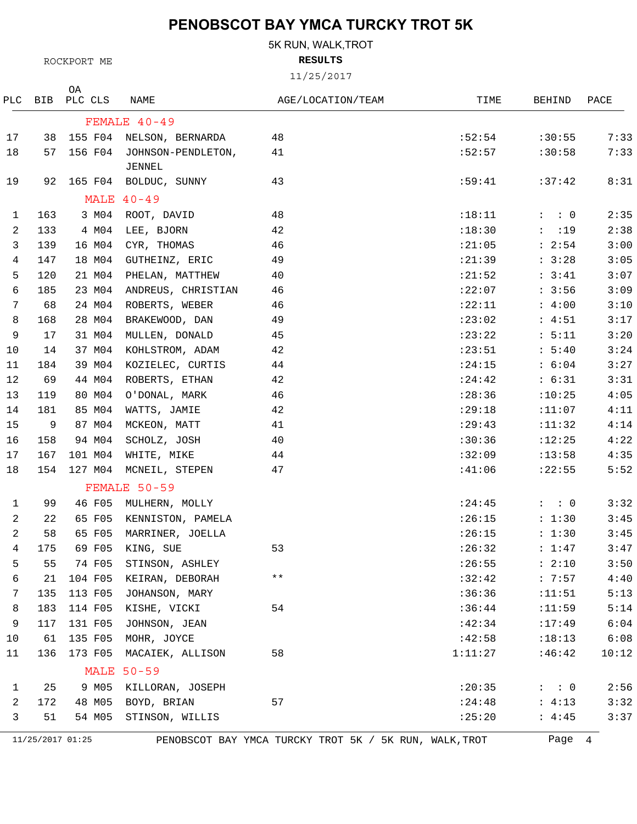5K RUN, WALK,TROT

**RESULTS**

11/25/2017

| PLC          | BIB              | ΟA<br>PLC CLS | NAME                     | AGE/LOCATION/TEAM                                      | TIME    | BEHIND              | PACE  |
|--------------|------------------|---------------|--------------------------|--------------------------------------------------------|---------|---------------------|-------|
|              |                  |               | FEMALE 40-49             |                                                        |         |                     |       |
| 17           | 38               |               | 155 F04 NELSON, BERNARDA | 48                                                     | :52:54  | :30:55              | 7:33  |
| 18           | 57               | 156 F04       | JOHNSON-PENDLETON,       | 41                                                     | :52:57  | :30:58              | 7:33  |
|              |                  |               | JENNEL                   |                                                        |         |                     |       |
| 19           | 92               |               | 165 F04 BOLDUC, SUNNY    | 43                                                     | :59:41  | :37:42              | 8:31  |
|              |                  |               | MALE $40-49$             |                                                        |         |                     |       |
| $\mathbf{1}$ | 163              | 3 MO4         | ROOT, DAVID              | 48                                                     | :18:11  | $: \quad : \quad 0$ | 2:35  |
| 2            | 133              | 4 MO4         | LEE, BJORN               | 42                                                     | :18:30  | : 19                | 2:38  |
| 3            | 139              | 16 MO4        | CYR, THOMAS              | 46                                                     | : 21:05 | : 2:54              | 3:00  |
| 4            | 147              | 18 M04        | GUTHEINZ, ERIC           | 49                                                     | : 21:39 | : 3:28              | 3:05  |
| 5            | 120              | 21 M04        | PHELAN, MATTHEW          | 40                                                     | : 21:52 | : 3:41              | 3:07  |
| 6            | 185              | 23 MO4        | ANDREUS, CHRISTIAN       | 46                                                     | :22:07  | : 3:56              | 3:09  |
| 7            | 68               | 24 M04        | ROBERTS, WEBER           | 46                                                     | :22:11  | : 4:00              | 3:10  |
| 8            | 168              | 28 M04        | BRAKEWOOD, DAN           | 49                                                     | :23:02  | : 4:51              | 3:17  |
| 9            | 17               | 31 M04        | MULLEN, DONALD           | 45                                                     | : 23:22 | : 5:11              | 3:20  |
| 10           | 14               | 37 M04        | KOHLSTROM, ADAM          | 42                                                     | : 23:51 | : 5:40              | 3:24  |
| 11           | 184              | 39 M04        | KOZIELEC, CURTIS         | 44                                                     | : 24:15 | : 6:04              | 3:27  |
| 12           | 69               | 44 M04        | ROBERTS, ETHAN           | 42                                                     | : 24:42 | : 6:31              | 3:31  |
| 13           | 119              | 80 MO4        | O'DONAL, MARK            | 46                                                     | : 28:36 | :10:25              | 4:05  |
| 14           | 181              | 85 M04        | WATTS, JAMIE             | 42                                                     | : 29:18 | :11:07              | 4:11  |
| 15           | 9                | 87 M04        | MCKEON, MATT             | 41                                                     | : 29:43 | : 11:32             | 4:14  |
| 16           | 158              | 94 MO4        | SCHOLZ, JOSH             | 40                                                     | :30:36  | :12:25              | 4:22  |
| 17           | 167              | 101 M04       | WHITE, MIKE              | 44                                                     | :32:09  | :13:58              | 4:35  |
| 18           | 154              | 127 MO4       | MCNEIL, STEPEN           | 47                                                     | :41:06  | : 22:55             | 5:52  |
|              |                  |               | FEMALE 50-59             |                                                        |         |                     |       |
| 1            | 99               | 46 F05        | MULHERN, MOLLY           |                                                        | : 24:45 | $\colon$ $\colon$ 0 | 3:32  |
| 2            | 22               | 65 F05        | KENNISTON, PAMELA        |                                                        | :26:15  | : 1:30              | 3:45  |
| 2            | 58               | 65 F05        | MARRINER, JOELLA         |                                                        | :26:15  | : 1:30              | 3:45  |
| 4            | 175              |               | 69 F05 KING, SUE         | 53                                                     |         | $:26:32$ : 1:47     | 3:47  |
| 5            | 55               | 74 F05        | STINSON, ASHLEY          |                                                        | :26:55  | : 2:10              | 3:50  |
| 6            | 21               | 104 F05       | KEIRAN, DEBORAH          | $\star\star$                                           | :32:42  | : 7:57              | 4:40  |
| 7            | 135              | 113 F05       | JOHANSON, MARY           |                                                        | :36:36  | :11:51              | 5:13  |
| 8            | 183              | 114 F05       | KISHE, VICKI             | 54                                                     | :36:44  | :11:59              | 5:14  |
| 9            | 117              | 131 F05       | JOHNSON, JEAN            |                                                        | :42:34  | :17:49              | 6:04  |
| 10           | 61               | 135 F05       | MOHR, JOYCE              |                                                        | :42:58  | :18:13              | 6:08  |
| 11           | 136              | 173 F05       | MACAIEK, ALLISON         | 58                                                     | 1:11:27 | :46:42              | 10:12 |
|              |                  |               | <b>MALE 50-59</b>        |                                                        |         |                     |       |
| 1            | 25               | 9 M05         | KILLORAN, JOSEPH         |                                                        | : 20:35 | $: \quad : \quad 0$ | 2:56  |
| 2            | 172              | 48 M05        | BOYD, BRIAN              | 57                                                     | : 24:48 | : 4:13              | 3:32  |
| 3            | 51               | 54 MO5        | STINSON, WILLIS          |                                                        | :25:20  | : 4:45              | 3:37  |
|              | 11/25/2017 01:25 |               |                          | PENOBSCOT BAY YMCA TURCKY TROT 5K / 5K RUN, WALK, TROT |         | Page 4              |       |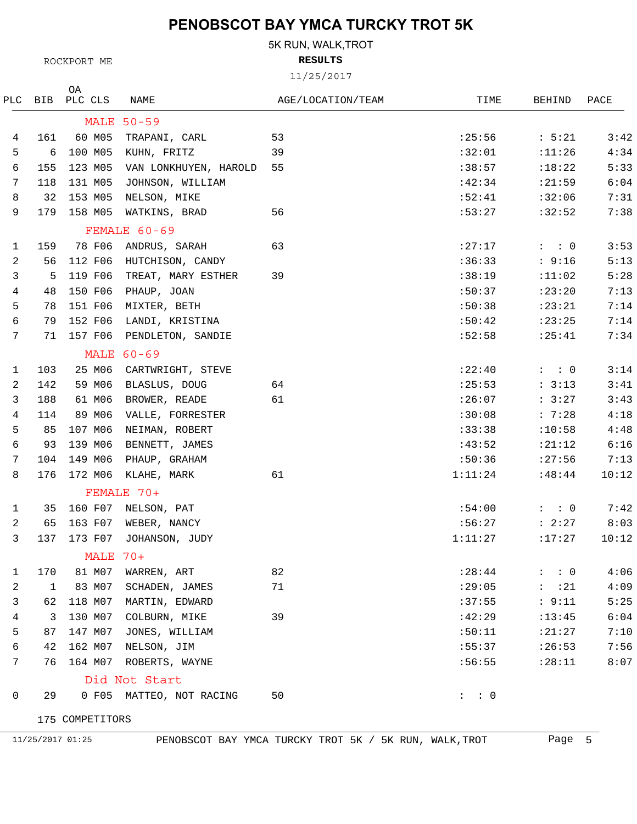5K RUN, WALK,TROT

**RESULTS**

11/25/2017

| PLC | BIB | ΟA<br>PLC CLS   | NAME                     | AGE/LOCATION/TEAM | TIME    | BEHIND              | PACE  |
|-----|-----|-----------------|--------------------------|-------------------|---------|---------------------|-------|
|     |     |                 | <b>MALE 50-59</b>        |                   |         |                     |       |
| 4   | 161 | 60 M05          | TRAPANI, CARL            | 53                | : 25:56 | : 5:21              | 3:42  |
| 5   | 6   | 100 M05         | KUHN, FRITZ              | 39                | :32:01  | : 11:26             | 4:34  |
| 6   | 155 | 123 M05         | VAN LONKHUYEN, HAROLD    | 55                | :38:57  | :18:22              | 5:33  |
| 7   | 118 | 131 M05         | JOHNSON, WILLIAM         |                   | :42:34  | : 21:59             | 6:04  |
| 8   | 32  | 153 M05         | NELSON, MIKE             |                   | :52:41  | :32:06              | 7:31  |
| 9   | 179 | 158 M05         | WATKINS, BRAD            | 56                | :53:27  | :32:52              | 7:38  |
|     |     |                 | FEMALE 60-69             |                   |         |                     |       |
| 1   | 159 | 78 F06          | ANDRUS, SARAH            | 63                | : 27:17 | $:$ : 0             | 3:53  |
| 2   | 56  | 112 F06         | HUTCHISON, CANDY         |                   | :36:33  | : 9:16              | 5:13  |
| 3   | 5   | 119 F06         | TREAT, MARY ESTHER       | 39                | :38:19  | :11:02              | 5:28  |
| 4   | 48  | 150 F06         | PHAUP, JOAN              |                   | :50:37  | : 23:20             | 7:13  |
| 5   | 78  | 151 F06         | MIXTER, BETH             |                   | :50:38  | : 23:21             | 7:14  |
| 6   | 79  | 152 F06         | LANDI, KRISTINA          |                   | :50:42  | : 23:25             | 7:14  |
| 7   | 71  | 157 F06         | PENDLETON, SANDIE        |                   | :52:58  | : 25:41             | 7:34  |
|     |     |                 | <b>MALE 60-69</b>        |                   |         |                     |       |
| 1   | 103 | 25 M06          | CARTWRIGHT, STEVE        |                   | :22:40  | $: \quad : \quad 0$ | 3:14  |
| 2   | 142 | 59 M06          | BLASLUS, DOUG            | 64                | : 25:53 | : 3:13              | 3:41  |
| 3   | 188 | 61 M06          | BROWER, READE            | 61                | :26:07  | : 3:27              | 3:43  |
| 4   | 114 | 89 MO6          | VALLE, FORRESTER         |                   | :30:08  | : 7:28              | 4:18  |
| 5   | 85  | 107 M06         | NEIMAN, ROBERT           |                   | :33:38  | :10:58              | 4:48  |
| 6   | 93  | 139 M06         | BENNETT, JAMES           |                   | :43:52  | : 21:12             | 6:16  |
| 7   | 104 | 149 M06         | PHAUP, GRAHAM            |                   | :50:36  | : 27:56             | 7:13  |
| 8   | 176 | 172 M06         | KLAHE, MARK              | 61                | 1:11:24 | :48:44              | 10:12 |
|     |     |                 | FEMALE 70+               |                   |         |                     |       |
| 1   | 35  | 160 F07         | NELSON, PAT              |                   | :54:00  | $: \quad : \quad 0$ | 7:42  |
| 2   | 65  | 163 F07         | WEBER, NANCY             |                   | :56:27  | : 2:27              | 8:03  |
| 3   | 137 | 173 F07         | JOHANSON, JUDY           |                   | 1:11:27 | :17:27              | 10:12 |
|     |     | MALE 70+        |                          |                   |         |                     |       |
| 1   | 170 | 81 M07          | WARREN, ART              | 82                | : 28:44 | $: \quad : \quad 0$ | 4:06  |
| 2   | 1   | 83 M07          | SCHADEN, JAMES           | 71                | :29:05  | : 21                | 4:09  |
| 3   | 62  | 118 M07         | MARTIN, EDWARD           |                   | :37:55  | : 9:11              | 5:25  |
| 4   | 3   | 130 MO7         | COLBURN, MIKE            | 39                | :42:29  | : 13:45             | 6:04  |
| 5   | 87  | 147 M07         | JONES, WILLIAM           |                   | :50:11  | : 21:27             | 7:10  |
| 6   | 42  | 162 M07         | NELSON, JIM              |                   | :55:37  | :26:53              | 7:56  |
| 7   | 76  | 164 M07         | ROBERTS, WAYNE           |                   | :56:55  | : 28:11             | 8:07  |
|     |     |                 | Did Not Start            |                   |         |                     |       |
| 0   | 29  |                 | 0 F05 MATTEO, NOT RACING | 50                | $:$ : 0 |                     |       |
|     |     | 175 COMPETITORS |                          |                   |         |                     |       |

ROCKPORT ME

11/25/2017 01:25 PENOBSCOT BAY YMCA TURCKY TROT 5K / 5K RUN, WALK,TROT Page 5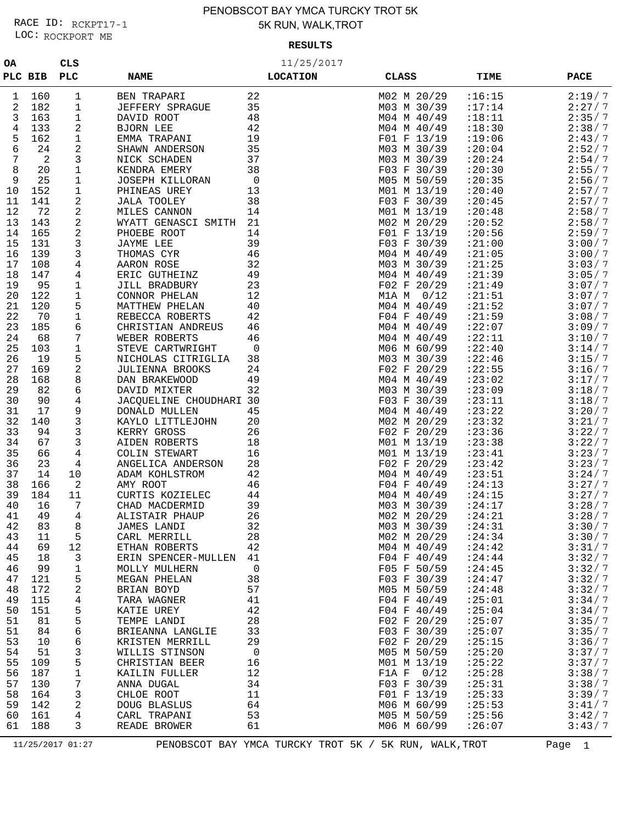### LOC: ROCKPORT ME RACE ID: RCKPT17-1

### PENOBSCOT BAY YMCA TURCKY TROT 5K 5K RUN, WALK,TROT

#### **RESULTS**

| 0A       |            | <b>CLS</b> |                                          |                 | 11/25/2017                  |                    |                  |
|----------|------------|------------|------------------------------------------|-----------------|-----------------------------|--------------------|------------------|
| PLC BIB  |            | <b>PLC</b> | <b>NAME</b>                              | <b>LOCATION</b> | <b>CLASS</b>                | <b>TIME</b>        | <b>PACE</b>      |
|          |            |            | <b>BEN TRAPARI</b>                       | 22              | M02 M 20/29                 | :16:15             | 2:19/7           |
| 1<br>2   | 160<br>182 | 1<br>1     | JEFFERY SPRAGUE                          | 35              | M03 M 30/39                 | :17:14             | 2:27/7           |
| 3        | 163        | 1          | DAVID ROOT                               | 48              | M04 M 40/49                 | :18:11             | 2:35/7           |
| 4        | 133        | 2          | BJORN LEE                                | 42              | M04 M 40/49                 | :18:30             | 2:38/7           |
| 5        | 162        | 1          | EMMA TRAPANI                             | 19              | F01 F 13/19                 | :19:06             | 2:43/7           |
| 6        | 24         | 2          | SHAWN ANDERSON                           | 35              | M03 M 30/39                 | : 20:04            | 2:52/7           |
| 7        | 2          | 3          | NICK SCHADEN                             | 37              | M03 M 30/39                 | : 20:24            | 2:54/7           |
| 8        | 20         | 1          | KENDRA EMERY                             | 38              | F03 F 30/39                 | :20:30             | 2:55/7           |
| 9        | 25         | 1          | JOSEPH KILLORAN                          | $\mathsf 0$     | M05 M 50/59                 | : 20:35            | 2:56/7           |
| 10       | 152        | 1          | PHINEAS UREY                             | 13              | M01 M 13/19                 | : 20:40            | 2:57/7           |
| 11       | 141        | 2          | <b>JALA TOOLEY</b>                       | 38              | F03 F 30/39                 | : 20:45            | 2:57/7           |
| 12       | 72         | 2          | MILES CANNON                             | 14              | M01 M 13/19                 | :20:48             | 2:58/7           |
| 13       | 143        | 2          | WYATT GENASCI SMITH                      | 21              | M02 M 20/29                 | :20:52             | 2:58/7           |
| 14       | 165        | 2          | PHOEBE ROOT                              | 14              | F01 F 13/19                 | : 20:56            | 2:59/7           |
| 15       | 131        | 3          | JAYME LEE                                | 39              | F03 F 30/39                 | : 21:00            | 3:00/7           |
| 16       | 139        | 3          | THOMAS CYR                               | 46              | M04 M 40/49                 | : 21:05            | 3:00/7           |
| 17       | 108        | 4          | AARON ROSE                               | 32              | M03 M 30/39                 | : 21:25            | 3:03/7           |
| 18       | 147        | 4          | ERIC GUTHEINZ                            | 49              | M04 M 40/49                 | : 21:39            | 3:05/7           |
| 19       | 95         | 1          | JILL BRADBURY                            | 23              | F02 F 20/29                 | : 21:49            | 3:07/7           |
| 20       | 122        | 1          | CONNOR PHELAN                            | 12              | M1A M<br>0/12               | : 21:51            | 3:07/7           |
| 21       | 120        | 5          | MATTHEW PHELAN                           | 40              | M04 M 40/49                 | : 21:52            | 3:07/7           |
| 22       | 70         | 1          | REBECCA ROBERTS                          | 42              | F04 F 40/49                 | : 21:59            | 3:08/7           |
| 23       | 185        | 6          | CHRISTIAN ANDREUS                        | 46              | M04 M 40/49                 | :22:07             | 3:09/7           |
| 24       | 68         | 7          | WEBER ROBERTS                            | 46              | M04 M 40/49                 | : 22:11            | 3:10/7           |
| 25       | 103        | 1          | STEVE CARTWRIGHT                         | $\mathbf 0$     | M06 M 60/99                 | : 22:40            | 3:14/7           |
| 26       | 19         | 5          | NICHOLAS CITRIGLIA                       | 38              | M03 M 30/39                 | : 22:46            | 3:15/7           |
| 27       | 169        | 2          | JULIENNA BROOKS                          | 24              | F02 F 20/29                 | : 22:55            | 3:16/7           |
| 28       | 168        | 8          | DAN BRAKEWOOD                            | 49              | M04 M 40/49                 | : 23:02            | 3:17/7           |
| 29<br>30 | 82<br>90   | 6          | DAVID MIXTER                             | 32              | M03 M 30/39                 | : 23:09<br>: 23:11 | 3:18/7<br>3:18/7 |
| 31       | 17         | 4<br>9     | JACQUELINE CHOUDHARI 30<br>DONALD MULLEN | 45              | F03 F 30/39<br>M04 M 40/49  | : 23:22            | 3:20/7           |
| 32       | 140        | 3          | KAYLO LITTLEJOHN                         | 20              | M02 M 20/29                 | : 23:32            | 3:21/7           |
| 33       | 94         | 3          | KERRY GROSS                              | 26              | F02 F 20/29                 | : 23:36            | 3:22/7           |
| 34       | 67         | 3          | AIDEN ROBERTS                            | 18              | M01 M 13/19                 | : 23:38            | 3:22/7           |
| 35       | 66         | 4          | COLIN STEWART                            | 16              | M01 M 13/19                 | : 23:41            | 3:23/7           |
| 36       | 23         | 4          | ANGELICA ANDERSON                        | 28              | F02 F 20/29                 | : 23:42            | 3:23/7           |
| 37       | 14         | 10         | ADAM KOHLSTROM                           | 42              | M04 M 40/49                 | : 23:51            | 3:24/7           |
| 38       | 166        | 2          | AMY ROOT                                 | 46              | F04 F 40/49                 | : 24:13            | 3:27/7           |
| 39       | 184        | 11         | CURTIS KOZIELEC                          | 44              | M04 M 40/49                 | : 24:15            | 3:27/7           |
| 40       | 16         | 7          | CHAD MACDERMID                           | 39              | M03 M 30/39                 | : 24:17            | 3:28/7           |
| 41       | 49         | 4          | ALISTAIR PHAUP                           | 26              | M02 M 20/29                 | : 24:21            | 3:28/7           |
| 42       | 83         | 8          | JAMES LANDI                              | 32              | M03 M 30/39                 | : 24:31            | 3:30/7           |
| 43       | 11         | 5          | CARL MERRILL                             | 28              | M02 M 20/29                 | : 24:34            | 3:30/7           |
| 44       | 69         | 12         | ETHAN ROBERTS                            | 42              | M04 M 40/49                 | : 24:42            | 3:31/7           |
| 45       | 18         | 3          | ERIN SPENCER-MULLEN                      | 41              | $F04$ F $40/49$             | : 24:44            | 3:32/7           |
| 46       | 99         | 1          | MOLLY MULHERN                            | $\mathsf{O}$    | F05 F 50/59                 | : 24:45            | 3:32/7           |
| 47       | 121        | 5          | MEGAN PHELAN                             | 38              | F03 F 30/39                 | : 24:47            | 3:32/7           |
| 48       | 172        | 2          | BRIAN BOYD                               | 57              | M05 M 50/59                 | : 24:48            | 3:32/7           |
| 49       | 115        | 4          | TARA WAGNER                              | 41              | F04 F 40/49                 | : 25:01            | 3:34/7           |
| 50       | 151        | 5          | KATIE UREY                               | 42              | F04 F 40/49                 | : 25:04            | 3:34/7           |
| 51       | 81         | 5          | TEMPE LANDI                              | 28              | F02 F 20/29                 | : 25:07            | 3:35/7           |
| 51       | 84         | 6          | BRIEANNA LANGLIE                         | 33              | F03 F 30/39                 | :25:07             | 3:35/7           |
| 53       | 10         | 6          | KRISTEN MERRILL                          | 29              | F02 F 20/29                 | : 25:15            | 3:36/7<br>3:37/7 |
| 54       | 51         | 3          | WILLIS STINSON                           | $\mathbf 0$     | M05 M 50/59                 | :25:20             |                  |
| 55<br>56 | 109<br>187 | 5<br>1     | CHRISTIAN BEER<br>KAILIN FULLER          | 16<br>12        | M01 M 13/19<br>F1A F $0/12$ | : 25:22<br>: 25:28 | 3:37/7<br>3:38/7 |
| 57       | 130        | 7          | ANNA DUGAL                               | 34              | F03 F 30/39                 | : 25:31            | 3:38/7           |
| 58       | 164        | 3          | CHLOE ROOT                               | 11              | F01 F 13/19                 | : 25:33            | 3:39/7           |
| 59       | 142        | 2          | DOUG BLASLUS                             | 64              | M06 M 60/99                 | : 25:53            | 3:41/7           |
| 60       | 161        | 4          | CARL TRAPANI                             | 53              | M05 M 50/59                 | : 25:56            | 3:42/7           |
| 61       | 188        | 3          | READE BROWER                             | 61              | M06 M 60/99                 | :26:07             | 3:43/7           |
|          |            |            |                                          |                 |                             |                    |                  |

11/25/2017 01:27 PENOBSCOT BAY YMCA TURCKY TROT 5K / 5K RUN, WALK, TROT Page 1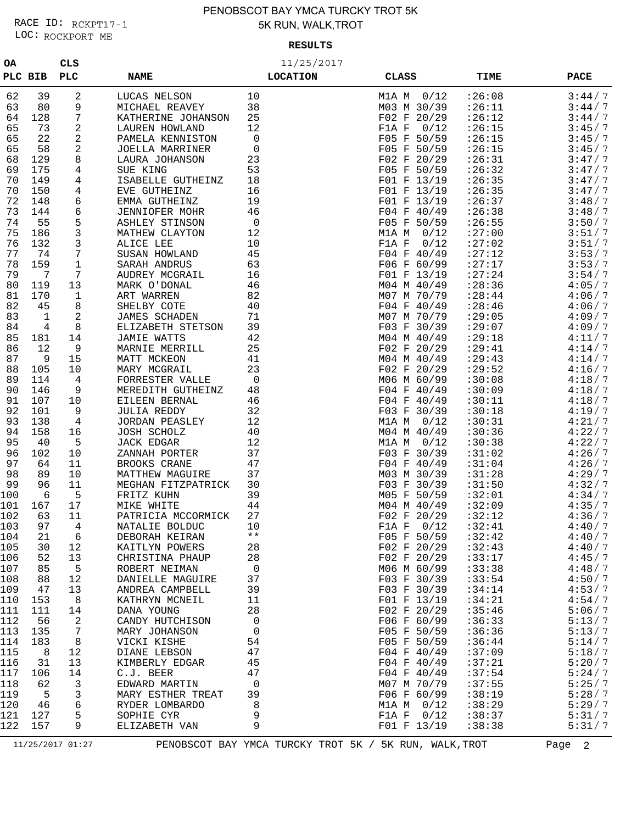### LOC: ROCKPORT ME RACE ID: RCKPT17-1

### PENOBSCOT BAY YMCA TURCKY TROT 5K 5K RUN, WALK,TROT

#### **RESULTS**

| 0A         |            | CLS        |                                     | 11/25/2017      |                            |                    |                  |
|------------|------------|------------|-------------------------------------|-----------------|----------------------------|--------------------|------------------|
| PLC BIB    |            | <b>PLC</b> | <b>NAME</b>                         | <b>LOCATION</b> | CLASS                      | TIME               | <b>PACE</b>      |
| 62         | 39         | 2          | LUCAS NELSON                        | 10              | 0/12<br>M1A M              | :26:08             | 3:44/7           |
| 63         | 80         | 9          | MICHAEL REAVEY                      | 38              | M03 M 30/39                | :26:11             | 3:44/7           |
| 64         | 128        | 7          | KATHERINE JOHANSON                  | 25              | F02 F 20/29                | :26:12             | 3:44/7           |
| 65         | 73         | 2          | <b>LAUREN HOWLAND</b>               | 12              | F1A F<br>0/12              | : 26:15            | 3:45/7           |
| 65         | 22         | 2          | PAMELA KENNISTON                    | 0               | F05 F 50/59                | : 26:15            | 3:45/7           |
| 65         | 58         | 2          | JOELLA MARRINER                     | 0               | F05 F 50/59                | : 26:15            | 3:45/7           |
| 68         | 129        | 8          | LAURA JOHANSON                      | 23              | F02 F 20/29                | :26:31             | 3:47/7           |
| 69         | 175        | 4          | SUE KING                            | 53              | F05 F 50/59                | : 26:32            | 3:47/7           |
| 70         | 149        | 4          | ISABELLE GUTHEINZ                   | 18              | F01 F 13/19                | : 26:35            | 3:47/7           |
| 70         | 150        | 4          | EVE GUTHEINZ                        | 16              | F01 F 13/19                | : 26:35            | 3:47/7           |
| 72         | 148        | 6          | EMMA GUTHEINZ                       | 19              | F01 F 13/19                | :26:37             | 3:48/7           |
| 73         | 144        | 6          | <b>JENNIOFER MOHR</b>               | 46              | F04 F 40/49                | :26:38             | 3:48/7           |
| 74         | 55         | 5          | ASHLEY STINSON                      | 0               | F05 F 50/59                | : 26:55            | 3:50/7           |
| 75         | 186        | 3          | MATHEW CLAYTON                      | 12              | 0/12<br>M1A M              | : 27:00            | 3:51/7           |
| 76         | 132        | 3          | ALICE LEE                           | 10              | 0/12<br>F1A F              | : 27:02            | 3:51/7           |
| 77         | 74         | 7          | SUSAN HOWLAND                       | 45              | F04 F 40/49                | : 27:12            | 3:53/7           |
| 78         | 159        | 1          | SARAH ANDRUS                        | 63              | F06 F 60/99                | : 27:17            | 3:53/7           |
| 79         | 7          | 7          | AUDREY MCGRAIL                      | 16              | F01 F 13/19                | : 27:24            | 3:54/7           |
| 80         | 119        | 13         | MARK O'DONAL                        | 46              | M04 M 40/49                | : 28:36            | 4:05/7           |
| 81         | 170        | 1          | ART WARREN                          | 82              | M07 M 70/79                | : 28:44<br>: 28:46 | 4:06/7           |
| 82         | 45         | 8          | SHELBY COTE<br><b>JAMES SCHADEN</b> | 40<br>71        | F04 F 40/49                | : 29:05            | 4:06/7<br>4:09/7 |
| 83<br>84   | 1<br>4     | 2<br>8     | ELIZABETH STETSON                   | 39              | M07 M 70/79<br>F03 F 30/39 | : 29:07            | 4:09/7           |
| 85         | 181        | 14         | <b>JAMIE WATTS</b>                  | 42              | M04 M 40/49                | :29:18             | 4:11/7           |
| 86         | 12         | 9          | MARNIE MERRILL                      | 25              | F02 F 20/29                | : 29:41            | 4:14/7           |
| 87         | 9          | 15         | MATT MCKEON                         | 41              | M04 M 40/49                | : 29:43            | 4:14/7           |
| 88         | 105        | 10         | MARY MCGRAIL                        | 23              | F02 F 20/29                | : 29:52            | 4:16/7           |
| 89         | 114        | 4          | FORRESTER VALLE                     | 0               | M06 M 60/99                | :30:08             | 4:18/7           |
| 90         | 146        | 9          | MEREDITH GUTHEINZ                   | 48              | F04 F 40/49                | :30:09             | 4:18/7           |
| 91         | 107        | 10         | EILEEN BERNAL                       | 46              | F04 F 40/49                | :30:11             | 4:18/7           |
| 92         | 101        | 9          | <b>JULIA REDDY</b>                  | 32              | F03 F 30/39                | :30:18             | 4:19/7           |
| 93         | 138        | 4          | <b>JORDAN PEASLEY</b>               | 12              | 0/12<br>M1A M              | :30:31             | 4:21/7           |
| 94         | 158        | 16         | JOSH SCHOLZ                         | 40              | M04 M 40/49                | :30:36             | 4:22/7           |
| 95         | 40         | 5          | JACK EDGAR                          | 12              | M1A M<br>0/12              | :30:38             | 4:22/7           |
| 96         | 102        | 10         | ZANNAH PORTER                       | 37              | F03 F 30/39                | :31:02             | 4:26/7           |
| 97         | 64         | 11         | BROOKS CRANE                        | 47              | F04 F 40/49                | :31:04             | 4:26/7           |
| 98         | 89         | 10         | MATTHEW MAGUIRE                     | 37              | M03 M 30/39                | :31:28             | 4:29/7           |
| 99         | 96         | 11         | MEGHAN FITZPATRICK                  | 30              | F03 F 30/39                | :31:50             | 4:32/7           |
| 100        | 6          | 5          | FRITZ KUHN                          | 39              | M05 F 50/59                | :32:01             | 4:34/7           |
| 101<br>102 | 167<br>63  | 17<br>11   | MIKE WHITE<br>PATRICIA MCCORMICK    | 44<br>27        | M04 M 40/49<br>F02 F 20/29 | :32:09<br>:32:12   | 4:35/7<br>4:36/7 |
| 103        | 97         | 4          |                                     | 10              | F1A F $0/12$               | :32:41             | 4:40/7           |
| 104        | 21         | 6          | NATALIE BOLDUC<br>DEBORAH KEIRAN    | $\star\star$    | F05 F 50/59                | :32:42             | 4:40/7           |
| 105        | 30         | 12         | KAITLYN POWERS                      | 28              | F02 F 20/29                | :32:43             | 4:40/7           |
| 106        | 52         | 13         | CHRISTINA PHAUP                     | 28              | F02 F 20/29                | :33:17             | 4:45/7           |
| 107        | 85         | 5          | ROBERT NEIMAN                       | $\overline{0}$  | M06 M 60/99                | :33:38             | 4:48/7           |
| 108        | 88         | 12         | DANIELLE MAGUIRE                    | 37              | F03 F 30/39                | :33:54             | 4:50/7           |
| 109        | 47         | 13         | ANDREA CAMPBELL                     | 39              | F03 F 30/39                | :34:14             | 4:53/7           |
| 110        | 153        | 8          | KATHRYN MCNEIL                      | 11              | F01 F 13/19                | :34:21             | 4:54/7           |
| 111        | 111        | 14         | DANA YOUNG                          | 28              | F02 F 20/29                | :35:46             | 5:06/7           |
| 112        | 56         | 2          | CANDY HUTCHISON                     | 0               | F06 F 60/99                | :36:33             | 5:13/7           |
| 113        | 135        | 7          | MARY JOHANSON                       | 0               | F05 F 50/59                | :36:36             | 5:13/7           |
| 114        | 183        | 8          | VICKI KISHE                         | 54              | F05 F 50/59                | :36:44             | 5:14/7           |
| 115        | 8          | 12         | DIANE LEBSON                        | 47              | F04 F 40/49                | :37:09             | 5:18/7           |
| 116        | 31         | 13         | KIMBERLY EDGAR                      | 45              | $F04$ F $40/49$            | :37:21             | 5:20/7           |
| 117        | 106        | 14         | C.J. BEER                           | 47              | F04 F 40/49                | :37:54             | 5:24/7           |
| 118        | 62         | 3          | EDWARD MARTIN                       | $\overline{0}$  | M07 M 70/79                | :37:55             | 5:25/7           |
| 119        | 5          | 3          | MARY ESTHER TREAT                   | 39              | F06 F 60/99                | :38:19             | 5:28/7           |
| 120        | 46         | 6          | RYDER LOMBARDO                      | 8               | M1A $M$ 0/12               | :38:29             | 5:29/7           |
| 121        | 127<br>157 | 5<br>9     | SOPHIE CYR                          | 9<br>9          | F1A F<br>0/12              | :38:37             | 5:31/7           |
| 122        |            |            | ELIZABETH VAN                       |                 | F01 F 13/19                | :38:38             | 5:31/7           |

11/25/2017 01:27 PENOBSCOT BAY YMCA TURCKY TROT 5K / 5K RUN, WALK, TROT Page 2